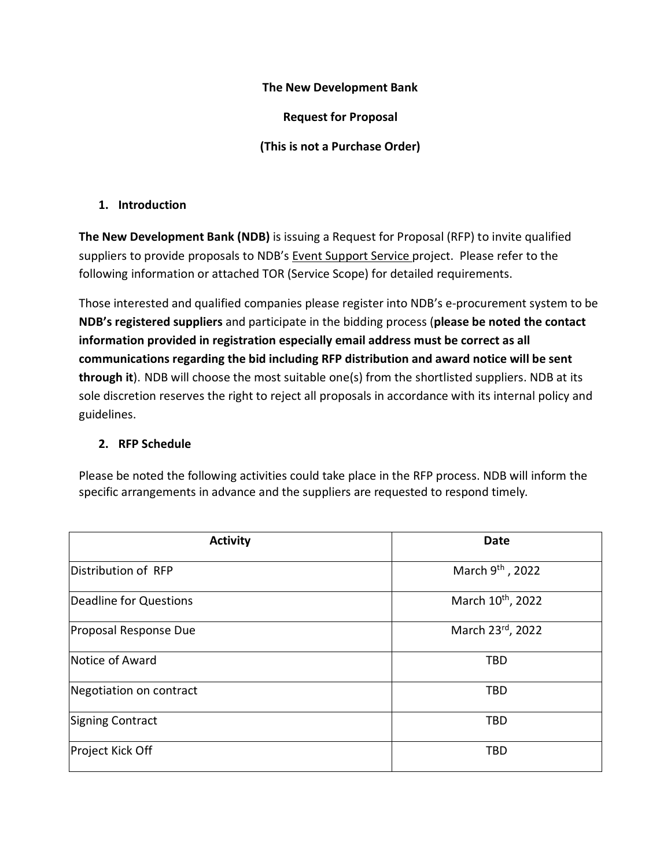#### **The New Development Bank**

**Request for Proposal**

**(This is not a Purchase Order)**

#### **1. Introduction**

**The New Development Bank (NDB)** is issuing a Request for Proposal (RFP) to invite qualified suppliers to provide proposals to NDB's Event Support Service project. Please refer to the following information or attached TOR (Service Scope) for detailed requirements.

Those interested and qualified companies please register into NDB's e-procurement system to be **NDB's registered suppliers** and participate in the bidding process (**please be noted the contact information provided in registration especially email address must be correct as all communications regarding the bid including RFP distribution and award notice will be sent through it**). NDB will choose the most suitable one(s) from the shortlisted suppliers. NDB at its sole discretion reserves the right to reject all proposals in accordance with its internal policy and guidelines.

### **2. RFP Schedule**

Please be noted the following activities could take place in the RFP process. NDB will inform the specific arrangements in advance and the suppliers are requested to respond timely.

| <b>Activity</b>         | <b>Date</b>                   |
|-------------------------|-------------------------------|
| Distribution of RFP     | March 9 <sup>th</sup> , 2022  |
| Deadline for Questions  | March 10 <sup>th</sup> , 2022 |
| Proposal Response Due   | March 23rd, 2022              |
| Notice of Award         | <b>TBD</b>                    |
| Negotiation on contract | <b>TBD</b>                    |
| <b>Signing Contract</b> | <b>TBD</b>                    |
| Project Kick Off        | <b>TBD</b>                    |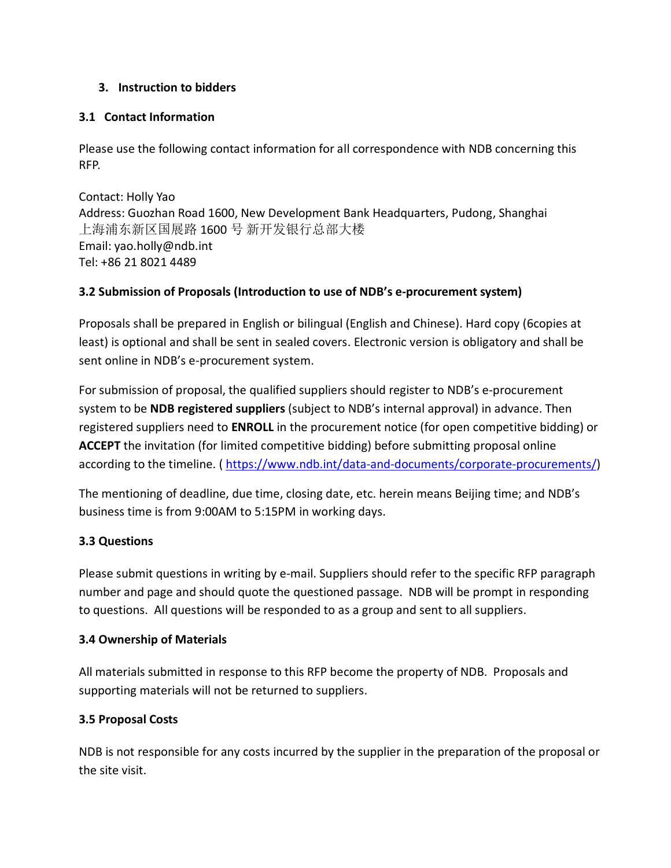### **3. Instruction to bidders**

#### **3.1 Contact Information**

Please use the following contact information for all correspondence with NDB concerning this RFP.

Contact: Holly Yao Address: Guozhan Road 1600, New Development Bank Headquarters, Pudong, Shanghai 上海浦东新区国展路 1600 号 新开发银行总部大楼 Email: yao.holly@ndb.int Tel: +86 21 8021 4489

### **3.2 Submission of Proposals (Introduction to use of NDB's e-procurement system)**

Proposals shall be prepared in English or bilingual (English and Chinese). Hard copy (6copies at least) is optional and shall be sent in sealed covers. Electronic version is obligatory and shall be sent online in NDB's e-procurement system.

For submission of proposal, the qualified suppliers should register to NDB's e-procurement system to be **NDB registered suppliers** (subject to NDB's internal approval) in advance. Then registered suppliers need to **ENROLL** in the procurement notice (for open competitive bidding) or **ACCEPT** the invitation (for limited competitive bidding) before submitting proposal online according to the timeline. (https://www.ndb.int/data-and-documents/corporate-procurements/)

The mentioning of deadline, due time, closing date, etc. herein means Beijing time; and NDB's business time is from 9:00AM to 5:15PM in working days.

### **3.3 Questions**

Please submit questions in writing by e-mail. Suppliers should refer to the specific RFP paragraph number and page and should quote the questioned passage. NDB will be prompt in responding to questions. All questions will be responded to as a group and sent to all suppliers.

### **3.4 Ownership of Materials**

All materials submitted in response to this RFP become the property of NDB. Proposals and supporting materials will not be returned to suppliers.

### **3.5 Proposal Costs**

NDB is not responsible for any costs incurred by the supplier in the preparation of the proposal or the site visit.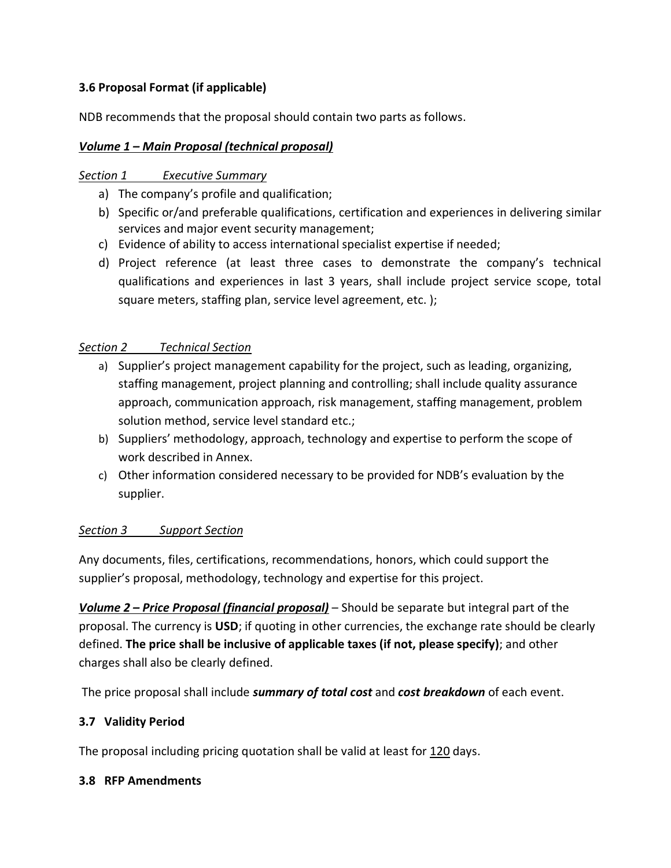## **3.6 Proposal Format (if applicable)**

NDB recommends that the proposal should contain two parts as follows.

### *Volume 1 – Main Proposal (technical proposal)*

### *Section 1 Executive Summary*

- a) The company's profile and qualification;
- b) Specific or/and preferable qualifications, certification and experiences in delivering similar services and major event security management;
- c) Evidence of ability to access international specialist expertise if needed;
- d) Project reference (at least three cases to demonstrate the company's technical qualifications and experiences in last 3 years, shall include project service scope, total square meters, staffing plan, service level agreement, etc. );

### *Section 2 Technical Section*

- a) Supplier's project management capability for the project, such as leading, organizing, staffing management, project planning and controlling; shall include quality assurance approach, communication approach, risk management, staffing management, problem solution method, service level standard etc.;
- b) Suppliers' methodology, approach, technology and expertise to perform the scope of work described in Annex.
- c) Other information considered necessary to be provided for NDB's evaluation by the supplier.

### *Section 3 Support Section*

Any documents, files, certifications, recommendations, honors, which could support the supplier's proposal, methodology, technology and expertise for this project.

*Volume 2 – Price Proposal (financial proposal)* – Should be separate but integral part of the proposal. The currency is **USD**; if quoting in other currencies, the exchange rate should be clearly defined. **The price shall be inclusive of applicable taxes (if not, please specify)**; and other charges shall also be clearly defined.

The price proposal shall include *summary of total cost* and *cost breakdown* of each event.

### **3.7 Validity Period**

The proposal including pricing quotation shall be valid at least for 120 days.

### **3.8 RFP Amendments**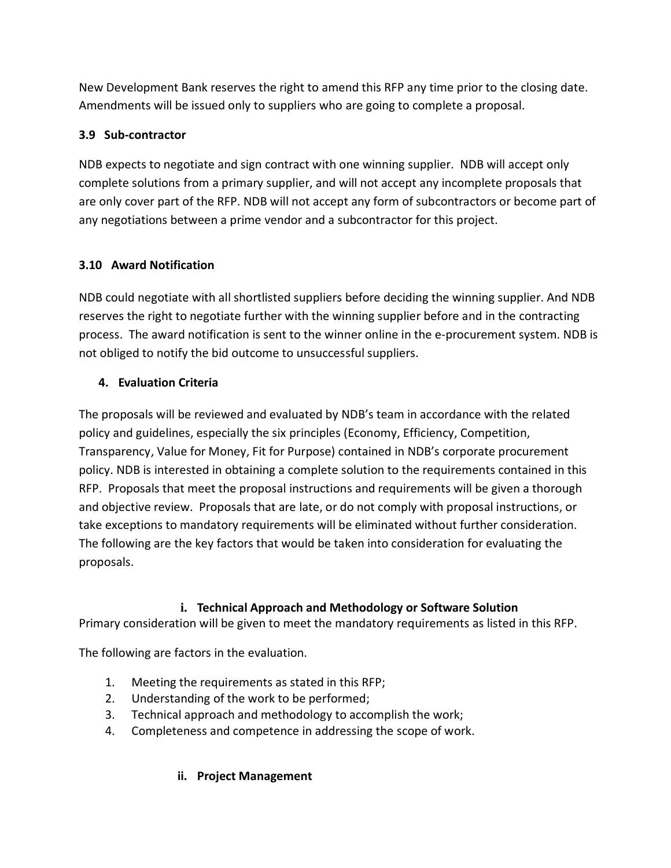New Development Bank reserves the right to amend this RFP any time prior to the closing date. Amendments will be issued only to suppliers who are going to complete a proposal.

## **3.9 Sub-contractor**

NDB expects to negotiate and sign contract with one winning supplier. NDB will accept only complete solutions from a primary supplier, and will not accept any incomplete proposals that are only cover part of the RFP. NDB will not accept any form of subcontractors or become part of any negotiations between a prime vendor and a subcontractor for this project.

## **3.10 Award Notification**

NDB could negotiate with all shortlisted suppliers before deciding the winning supplier. And NDB reserves the right to negotiate further with the winning supplier before and in the contracting process. The award notification is sent to the winner online in the e-procurement system. NDB is not obliged to notify the bid outcome to unsuccessful suppliers.

## **4. Evaluation Criteria**

The proposals will be reviewed and evaluated by NDB's team in accordance with the related policy and guidelines, especially the six principles (Economy, Efficiency, Competition, Transparency, Value for Money, Fit for Purpose) contained in NDB's corporate procurement policy. NDB is interested in obtaining a complete solution to the requirements contained in this RFP. Proposals that meet the proposal instructions and requirements will be given a thorough and objective review. Proposals that are late, or do not comply with proposal instructions, or take exceptions to mandatory requirements will be eliminated without further consideration. The following are the key factors that would be taken into consideration for evaluating the proposals.

### **i. Technical Approach and Methodology or Software Solution**

Primary consideration will be given to meet the mandatory requirements as listed in this RFP.

The following are factors in the evaluation.

- 1. Meeting the requirements as stated in this RFP;
- 2. Understanding of the work to be performed;
- 3. Technical approach and methodology to accomplish the work;
- 4. Completeness and competence in addressing the scope of work.

# **ii. Project Management**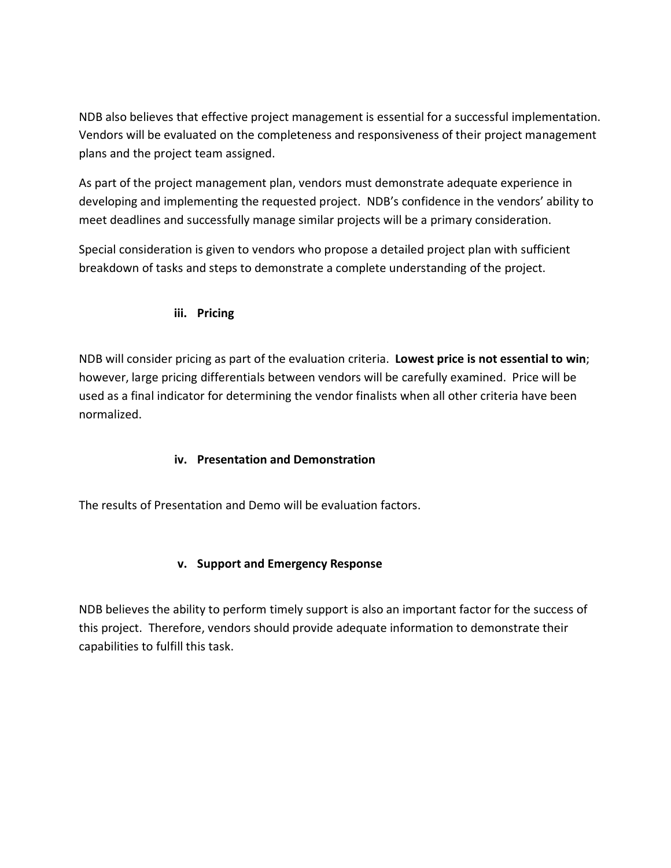NDB also believes that effective project management is essential for a successful implementation. Vendors will be evaluated on the completeness and responsiveness of their project management plans and the project team assigned.

As part of the project management plan, vendors must demonstrate adequate experience in developing and implementing the requested project. NDB's confidence in the vendors' ability to meet deadlines and successfully manage similar projects will be a primary consideration.

Special consideration is given to vendors who propose a detailed project plan with sufficient breakdown of tasks and steps to demonstrate a complete understanding of the project.

### **iii. Pricing**

NDB will consider pricing as part of the evaluation criteria. **Lowest price is not essential to win**; however, large pricing differentials between vendors will be carefully examined. Price will be used as a final indicator for determining the vendor finalists when all other criteria have been normalized.

### **iv. Presentation and Demonstration**

The results of Presentation and Demo will be evaluation factors.

# **v. Support and Emergency Response**

NDB believes the ability to perform timely support is also an important factor for the success of this project. Therefore, vendors should provide adequate information to demonstrate their capabilities to fulfill this task.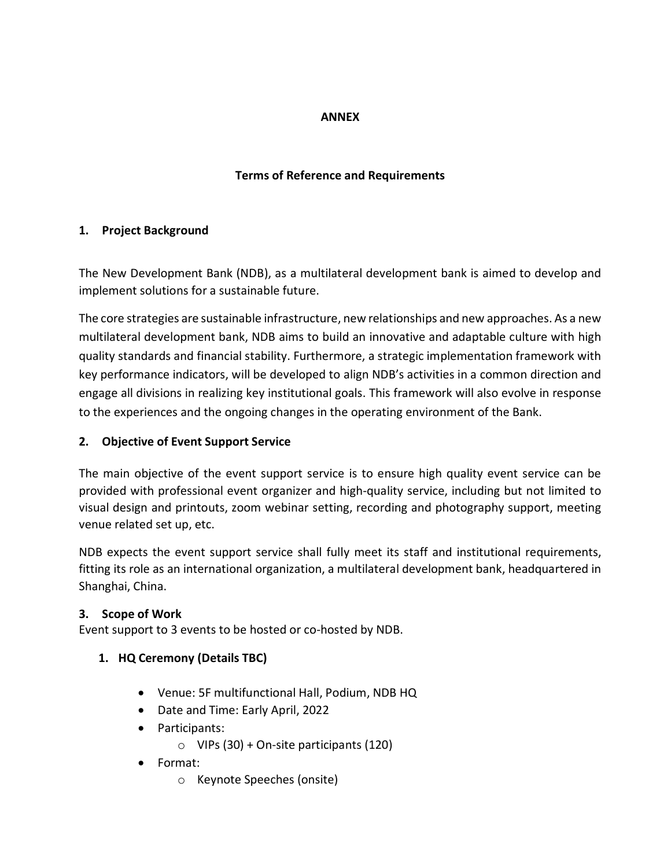### **ANNEX**

### **Terms of Reference and Requirements**

#### **1. Project Background**

The New Development Bank (NDB), as a multilateral development bank is aimed to develop and implement solutions for a sustainable future.

The core strategies are sustainable infrastructure, new relationships and new approaches. As a new multilateral development bank, NDB aims to build an innovative and adaptable culture with high quality standards and financial stability. Furthermore, a strategic implementation framework with key performance indicators, will be developed to align NDB's activities in a common direction and engage all divisions in realizing key institutional goals. This framework will also evolve in response to the experiences and the ongoing changes in the operating environment of the Bank.

#### **2. Objective of Event Support Service**

The main objective of the event support service is to ensure high quality event service can be provided with professional event organizer and high-quality service, including but not limited to visual design and printouts, zoom webinar setting, recording and photography support, meeting venue related set up, etc.

NDB expects the event support service shall fully meet its staff and institutional requirements, fitting its role as an international organization, a multilateral development bank, headquartered in Shanghai, China.

### **3. Scope of Work**

Event support to 3 events to be hosted or co-hosted by NDB.

- **1. HQ Ceremony (Details TBC)**
	- Venue: 5F multifunctional Hall, Podium, NDB HQ
	- Date and Time: Early April, 2022
	- Participants:
		- $\circ$  VIPs (30) + On-site participants (120)
	- Format:
		- o Keynote Speeches (onsite)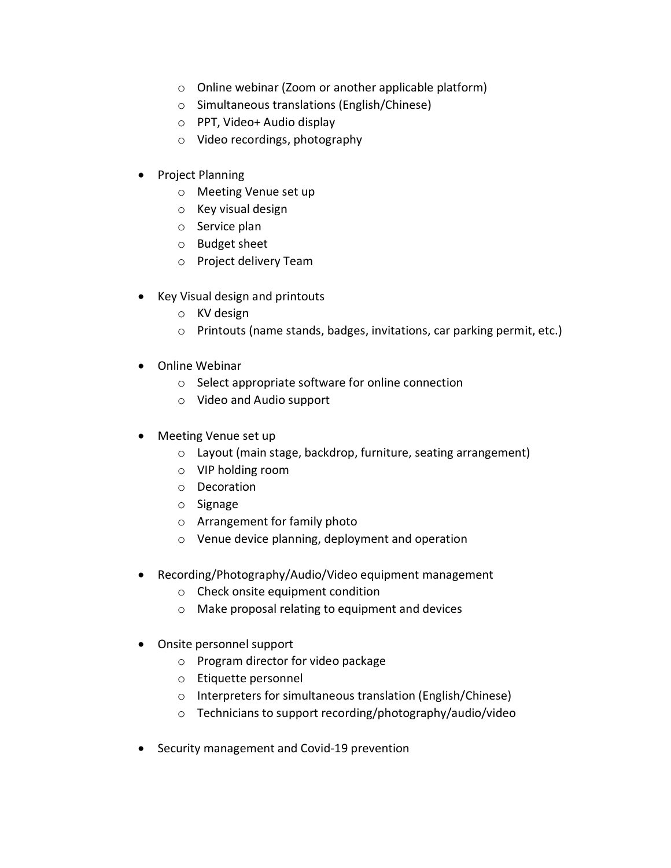- o Online webinar (Zoom or another applicable platform)
- o Simultaneous translations (English/Chinese)
- o PPT, Video+ Audio display
- o Video recordings, photography
- Project Planning
	- o Meeting Venue set up
	- o Key visual design
	- o Service plan
	- o Budget sheet
	- o Project delivery Team
- Key Visual design and printouts
	- o KV design
	- o Printouts (name stands, badges, invitations, car parking permit, etc.)
- Online Webinar
	- o Select appropriate software for online connection
	- o Video and Audio support
- Meeting Venue set up
	- o Layout (main stage, backdrop, furniture, seating arrangement)
	- o VIP holding room
	- o Decoration
	- o Signage
	- o Arrangement for family photo
	- o Venue device planning, deployment and operation
- Recording/Photography/Audio/Video equipment management
	- o Check onsite equipment condition
	- o Make proposal relating to equipment and devices
- Onsite personnel support
	- o Program director for video package
	- o Etiquette personnel
	- o Interpreters for simultaneous translation (English/Chinese)
	- o Technicians to support recording/photography/audio/video
- Security management and Covid-19 prevention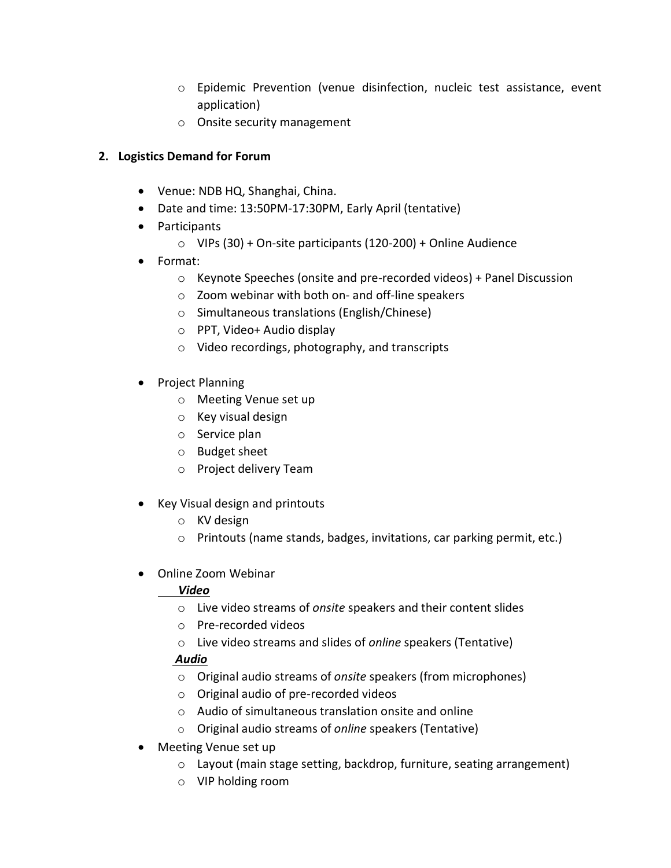- o Epidemic Prevention (venue disinfection, nucleic test assistance, event application)
- o Onsite security management

## **2. Logistics Demand for Forum**

- Venue: NDB HQ, Shanghai, China.
- Date and time: 13:50PM-17:30PM, Early April (tentative)
- Participants
	- $\circ$  VIPs (30) + On-site participants (120-200) + Online Audience
- Format:
	- o Keynote Speeches (onsite and pre-recorded videos) + Panel Discussion
	- o Zoom webinar with both on- and off-line speakers
	- o Simultaneous translations (English/Chinese)
	- o PPT, Video+ Audio display
	- o Video recordings, photography, and transcripts
- Project Planning
	- o Meeting Venue set up
	- o Key visual design
	- o Service plan
	- o Budget sheet
	- o Project delivery Team
- Key Visual design and printouts
	- o KV design
	- o Printouts (name stands, badges, invitations, car parking permit, etc.)
- Online Zoom Webinar

# *Video*

- o Live video streams of *onsite* speakers and their content slides
- o Pre-recorded videos
- o Live video streams and slides of *online* speakers (Tentative)

# *Audio*

- o Original audio streams of *onsite* speakers (from microphones)
- o Original audio of pre-recorded videos
- o Audio of simultaneous translation onsite and online
- o Original audio streams of *online* speakers (Tentative)
- Meeting Venue set up
	- o Layout (main stage setting, backdrop, furniture, seating arrangement)
	- o VIP holding room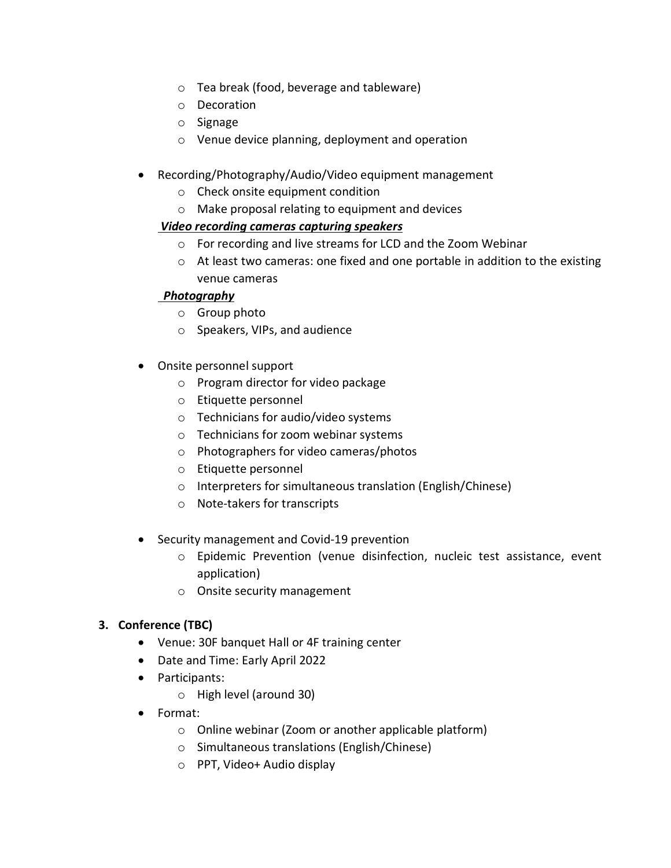- o Tea break (food, beverage and tableware)
- o Decoration
- o Signage
- o Venue device planning, deployment and operation
- Recording/Photography/Audio/Video equipment management
	- o Check onsite equipment condition
	- o Make proposal relating to equipment and devices

### *Video recording cameras capturing speakers*

- o For recording and live streams for LCD and the Zoom Webinar
- $\circ$  At least two cameras: one fixed and one portable in addition to the existing venue cameras

## *Photography*

- o Group photo
- o Speakers, VIPs, and audience
- Onsite personnel support
	- o Program director for video package
	- o Etiquette personnel
	- o Technicians for audio/video systems
	- o Technicians for zoom webinar systems
	- o Photographers for video cameras/photos
	- o Etiquette personnel
	- o Interpreters for simultaneous translation (English/Chinese)
	- o Note-takers for transcripts
- Security management and Covid-19 prevention
	- o Epidemic Prevention (venue disinfection, nucleic test assistance, event application)
	- o Onsite security management

# **3. Conference (TBC)**

- Venue: 30F banquet Hall or 4F training center
- Date and Time: Early April 2022
- Participants:
	- o High level (around 30)
- Format:
	- o Online webinar (Zoom or another applicable platform)
	- o Simultaneous translations (English/Chinese)
	- o PPT, Video+ Audio display